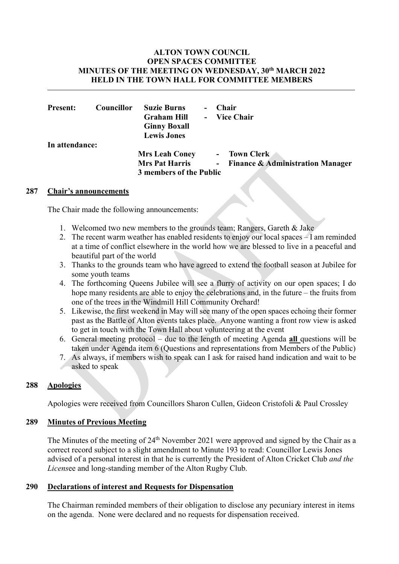## ALTON TOWN COUNCIL OPEN SPACES COMMITTEE MINUTES OF THE MEETING ON WEDNESDAY, 30th MARCH 2022 HELD IN THE TOWN HALL FOR COMMITTEE MEMBERS

| <b>Present:</b> | Councillor | <b>Suzie Burns</b><br><b>Graham Hill</b><br><b>Ginny Boxall</b>           | <b>Chair</b><br>- Vice Chair                       |
|-----------------|------------|---------------------------------------------------------------------------|----------------------------------------------------|
| In attendance:  |            | <b>Lewis Jones</b>                                                        |                                                    |
|                 |            | <b>Mrs Leah Coney</b><br><b>Mrs Pat Harris</b><br>3 members of the Public | - Town Clerk<br>- Finance & Administration Manager |

## 287 Chair's announcements

The Chair made the following announcements:

- 1. Welcomed two new members to the grounds team; Rangers, Gareth & Jake
- 2. The recent warm weather has enabled residents to enjoy our local spaces I am reminded at a time of conflict elsewhere in the world how we are blessed to live in a peaceful and beautiful part of the world
- 3. Thanks to the grounds team who have agreed to extend the football season at Jubilee for some youth teams
- 4. The forthcoming Queens Jubilee will see a flurry of activity on our open spaces; I do hope many residents are able to enjoy the celebrations and, in the future – the fruits from one of the trees in the Windmill Hill Community Orchard!
- 5. Likewise, the first weekend in May will see many of the open spaces echoing their former past as the Battle of Alton events takes place. Anyone wanting a front row view is asked to get in touch with the Town Hall about volunteering at the event
- 6. General meeting protocol due to the length of meeting Agenda all questions will be taken under Agenda item 6 (Questions and representations from Members of the Public)
- 7. As always, if members wish to speak can I ask for raised hand indication and wait to be asked to speak

# 288 Apologies

Apologies were received from Councillors Sharon Cullen, Gideon Cristofoli & Paul Crossley

# 289 Minutes of Previous Meeting

The Minutes of the meeting of 24<sup>th</sup> November 2021 were approved and signed by the Chair as a correct record subject to a slight amendment to Minute 193 to read: Councillor Lewis Jones advised of a personal interest in that he is currently the President of Alton Cricket Club and the Licensee and long-standing member of the Alton Rugby Club.

## 290 Declarations of interest and Requests for Dispensation

 The Chairman reminded members of their obligation to disclose any pecuniary interest in items on the agenda. None were declared and no requests for dispensation received.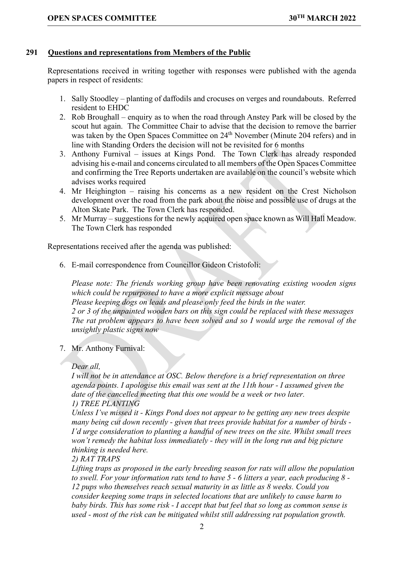## 291 Questions and representations from Members of the Public

Representations received in writing together with responses were published with the agenda papers in respect of residents:

- 1. Sally Stoodley planting of daffodils and crocuses on verges and roundabouts. Referred resident to EHDC
- 2. Rob Broughall enquiry as to when the road through Anstey Park will be closed by the scout hut again. The Committee Chair to advise that the decision to remove the barrier was taken by the Open Spaces Committee on 24<sup>th</sup> November (Minute 204 refers) and in line with Standing Orders the decision will not be revisited for 6 months
- 3. Anthony Furnival issues at Kings Pond. The Town Clerk has already responded advising his e-mail and concerns circulated to all members of the Open Spaces Committee and confirming the Tree Reports undertaken are available on the council's website which advises works required
- 4. Mr Heighington raising his concerns as a new resident on the Crest Nicholson development over the road from the park about the noise and possible use of drugs at the Alton Skate Park. The Town Clerk has responded.
- 5. Mr Murray suggestions for the newly acquired open space known as Will Hall Meadow. The Town Clerk has responded

Representations received after the agenda was published:

6. E-mail correspondence from Councillor Gideon Cristofoli:

Please note: The friends working group have been renovating existing wooden signs which could be repurposed to have a more explicit message about Please keeping dogs on leads and please only feed the birds in the water. 2 or 3 of the unpainted wooden bars on this sign could be replaced with these messages The rat problem appears to have been solved and so I would urge the removal of the unsightly plastic signs now

7. Mr. Anthony Furnival:

Dear all,

I will not be in attendance at OSC. Below therefore is a brief representation on three agenda points. I apologise this email was sent at the 11th hour - I assumed given the date of the cancelled meeting that this one would be a week or two later. 1) TREE PLANTING

Unless I've missed it - Kings Pond does not appear to be getting any new trees despite many being cut down recently - given that trees provide habitat for a number of birds - I'd urge consideration to planting a handful of new trees on the site. Whilst small trees won't remedy the habitat loss immediately - they will in the long run and big picture thinking is needed here.

2) RAT TRAPS

Lifting traps as proposed in the early breeding season for rats will allow the population to swell. For your information rats tend to have  $5$  - 6 litters a year, each producing  $8$  -12 pups who themselves reach sexual maturity in as little as 8 weeks. Could you consider keeping some traps in selected locations that are unlikely to cause harm to baby birds. This has some risk - I accept that but feel that so long as common sense is used - most of the risk can be mitigated whilst still addressing rat population growth.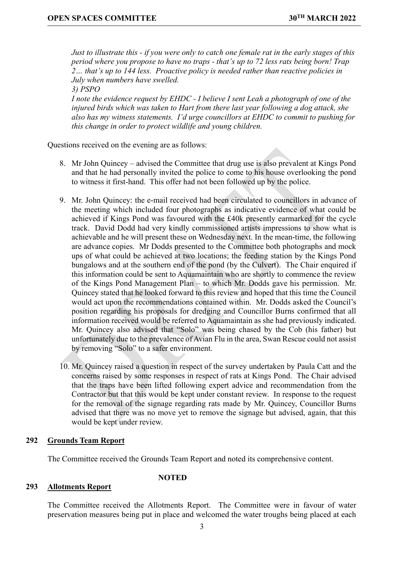Just to illustrate this - if you were only to catch one female rat in the early stages of this period where you propose to have no traps - that's up to 72 less rats being born! Trap 2… that's up to 144 less. Proactive policy is needed rather than reactive policies in July when numbers have swelled.

3) PSPO

I note the evidence request by EHDC - I believe I sent Leah a photograph of one of the injured birds which was taken to Hart from there last year following a dog attack, she also has my witness statements. I'd urge councillors at EHDC to commit to pushing for this change in order to protect wildlife and young children.

Questions received on the evening are as follows:

- 8. Mr John Quincey advised the Committee that drug use is also prevalent at Kings Pond and that he had personally invited the police to come to his house overlooking the pond to witness it first-hand. This offer had not been followed up by the police.
- 9. Mr. John Quincey: the e-mail received had been circulated to councillors in advance of the meeting which included four photographs as indicative evidence of what could be achieved if Kings Pond was favoured with the £40k presently earmarked for the cycle track. David Dodd had very kindly commissioned artists impressions to show what is achievable and he will present these on Wednesday next. In the mean-time, the following are advance copies. Mr Dodds presented to the Committee both photographs and mock ups of what could be achieved at two locations; the feeding station by the Kings Pond bungalows and at the southern end of the pond (by the Culvert). The Chair enquired if this information could be sent to Aquamaintain who are shortly to commence the review of the Kings Pond Management Plan – to which Mr. Dodds gave his permission. Mr. Quincey stated that he looked forward to this review and hoped that this time the Council would act upon the recommendations contained within. Mr. Dodds asked the Council's position regarding his proposals for dredging and Councillor Burns confirmed that all information received would be referred to Aquamaintain as she had previously indicated. Mr. Quincey also advised that "Solo" was being chased by the Cob (his father) but unfortunately due to the prevalence of Avian Flu in the area, Swan Rescue could not assist by removing "Solo" to a safer environment.
- 10. Mr. Quincey raised a question in respect of the survey undertaken by Paula Catt and the concerns raised by some responses in respect of rats at Kings Pond. The Chair advised that the traps have been lifted following expert advice and recommendation from the Contractor but that this would be kept under constant review. In response to the request for the removal of the signage regarding rats made by Mr. Quincey, Councillor Burns advised that there was no move yet to remove the signage but advised, again, that this would be kept under review.

## 292 Grounds Team Report

The Committee received the Grounds Team Report and noted its comprehensive content.

#### 293 Allotments Report

**NOTED** 

The Committee received the Allotments Report. The Committee were in favour of water preservation measures being put in place and welcomed the water troughs being placed at each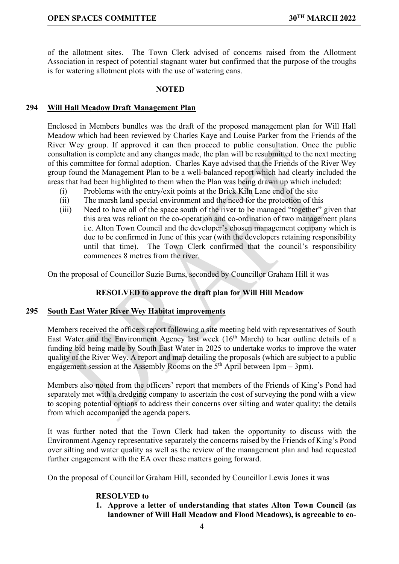of the allotment sites. The Town Clerk advised of concerns raised from the Allotment Association in respect of potential stagnant water but confirmed that the purpose of the troughs is for watering allotment plots with the use of watering cans.

### **NOTED**

## 294 Will Hall Meadow Draft Management Plan

Enclosed in Members bundles was the draft of the proposed management plan for Will Hall Meadow which had been reviewed by Charles Kaye and Louise Parker from the Friends of the River Wey group. If approved it can then proceed to public consultation. Once the public consultation is complete and any changes made, the plan will be resubmitted to the next meeting of this committee for formal adoption. Charles Kaye advised that the Friends of the River Wey group found the Management Plan to be a well-balanced report which had clearly included the areas that had been highlighted to them when the Plan was being drawn up which included:

- (i) Problems with the entry/exit points at the Brick Kiln Lane end of the site
- (ii) The marsh land special environment and the need for the protection of this
- (iii) Need to have all of the space south of the river to be managed "together" given that this area was reliant on the co-operation and co-ordination of two management plans i.e. Alton Town Council and the developer's chosen management company which is due to be confirmed in June of this year (with the developers retaining responsibility until that time). The Town Clerk confirmed that the council's responsibility commences 8 metres from the river.

On the proposal of Councillor Suzie Burns, seconded by Councillor Graham Hill it was

# RESOLVED to approve the draft plan for Will Hill Meadow

## 295 South East Water River Wey Habitat improvements

Members received the officers report following a site meeting held with representatives of South East Water and the Environment Agency last week  $(16<sup>th</sup> March)$  to hear outline details of a funding bid being made by South East Water in 2025 to undertake works to improve the water quality of the River Wey. A report and map detailing the proposals (which are subject to a public engagement session at the Assembly Rooms on the  $5<sup>th</sup>$  April between 1pm – 3pm).

Members also noted from the officers' report that members of the Friends of King's Pond had separately met with a dredging company to ascertain the cost of surveying the pond with a view to scoping potential options to address their concerns over silting and water quality; the details from which accompanied the agenda papers.

It was further noted that the Town Clerk had taken the opportunity to discuss with the Environment Agency representative separately the concerns raised by the Friends of King's Pond over silting and water quality as well as the review of the management plan and had requested further engagement with the EA over these matters going forward.

On the proposal of Councillor Graham Hill, seconded by Councillor Lewis Jones it was

## RESOLVED to

1. Approve a letter of understanding that states Alton Town Council (as landowner of Will Hall Meadow and Flood Meadows), is agreeable to co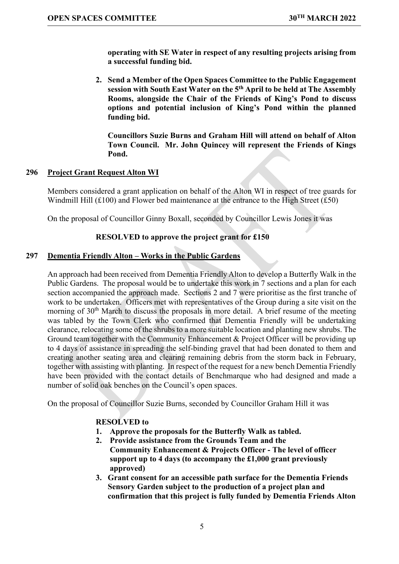operating with SE Water in respect of any resulting projects arising from a successful funding bid.

2. Send a Member of the Open Spaces Committee to the Public Engagement session with South East Water on the 5<sup>th</sup> April to be held at The Assembly Rooms, alongside the Chair of the Friends of King's Pond to discuss options and potential inclusion of King's Pond within the planned funding bid.

Councillors Suzie Burns and Graham Hill will attend on behalf of Alton Town Council. Mr. John Quincey will represent the Friends of Kings Pond.

# 296 Project Grant Request Alton WI

Members considered a grant application on behalf of the Alton WI in respect of tree guards for Windmill Hill  $(f100)$  and Flower bed maintenance at the entrance to the High Street  $(f50)$ 

On the proposal of Councillor Ginny Boxall, seconded by Councillor Lewis Jones it was

# RESOLVED to approve the project grant for £150

## 297 Dementia Friendly Alton – Works in the Public Gardens

 An approach had been received from Dementia Friendly Alton to develop a Butterfly Walk in the Public Gardens. The proposal would be to undertake this work in 7 sections and a plan for each section accompanied the approach made. Sections 2 and 7 were prioritise as the first tranche of work to be undertaken. Officers met with representatives of the Group during a site visit on the morning of  $30<sup>th</sup>$  March to discuss the proposals in more detail. A brief resume of the meeting was tabled by the Town Clerk who confirmed that Dementia Friendly will be undertaking clearance, relocating some of the shrubs to a more suitable location and planting new shrubs. The Ground team together with the Community Enhancement & Project Officer will be providing up to 4 days of assistance in spreading the self-binding gravel that had been donated to them and creating another seating area and clearing remaining debris from the storm back in February, together with assisting with planting. In respect of the request for a new bench Dementia Friendly have been provided with the contact details of Benchmarque who had designed and made a number of solid oak benches on the Council's open spaces.

On the proposal of Councillor Suzie Burns, seconded by Councillor Graham Hill it was

# RESOLVED to

- 1. Approve the proposals for the Butterfly Walk as tabled.
- 2. Provide assistance from the Grounds Team and the Community Enhancement & Projects Officer - The level of officer support up to 4 days (to accompany the £1,000 grant previously approved)
- 3. Grant consent for an accessible path surface for the Dementia Friends Sensory Garden subject to the production of a project plan and confirmation that this project is fully funded by Dementia Friends Alton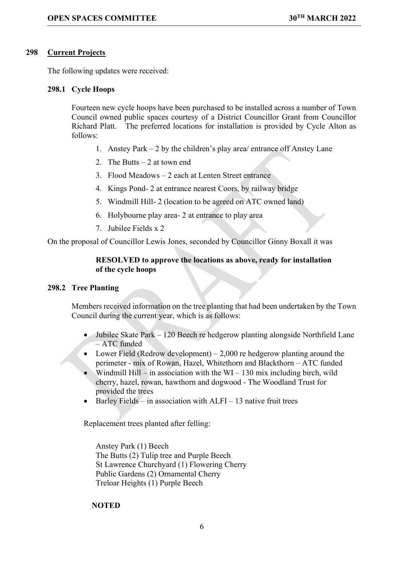## 298 Current Projects

The following updates were received:

## 298.1 Cycle Hoops

Fourteen new cycle hoops have been purchased to be installed across a number of Town Council owned public spaces courtesy of a District Councillor Grant from Councillor Richard Platt. The preferred locations for installation is provided by Cycle Alton as follows:

- 1. Anstey Park 2 by the children's play area/ entrance off Anstey Lane
- 2. The Butts 2 at town end
- 3. Flood Meadows 2 each at Lenten Street entrance
- 4. Kings Pond- 2 at entrance nearest Coors, by railway bridge
- 5. Windmill Hill- 2 (location to be agreed on ATC owned land)
- 6. Holybourne play area- 2 at entrance to play area
- 7. Jubilee Fields x 2

On the proposal of Councillor Lewis Jones, seconded by Councillor Ginny Boxall it was

# RESOLVED to approve the locations as above, ready for installation of the cycle hoops

## 298.2 Tree Planting

Members received information on the tree planting that had been undertaken by the Town Council during the current year, which is as follows:

- Jubilee Skate Park 120 Beech re hedgerow planting alongside Northfield Lane – ATC funded
- Lower Field (Redrow development)  $-2,000$  re hedgerow planting around the perimeter - mix of Rowan, Hazel, Whitethorn and Blackthorn – ATC funded
- Windmill Hill in association with the  $WI 130$  mix including birch, wild cherry, hazel, rowan, hawthorn and dogwood - The Woodland Trust for provided the trees
- Barley Fields in association with ALFI 13 native fruit trees

Replacement trees planted after felling:

Anstey Park (1) Beech The Butts (2) Tulip tree and Purple Beech St Lawrence Churchyard (1) Flowering Cherry Public Gardens (2) Ornamental Cherry Treloar Heights (1) Purple Beech

## **NOTED**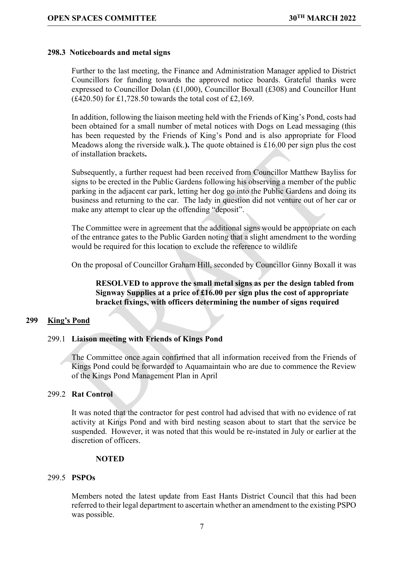### 298.3 Noticeboards and metal signs

Further to the last meeting, the Finance and Administration Manager applied to District Councillors for funding towards the approved notice boards. Grateful thanks were expressed to Councillor Dolan (£1,000), Councillor Boxall (£308) and Councillor Hunt  $(£420.50)$  for £1,728.50 towards the total cost of £2,169.

In addition, following the liaison meeting held with the Friends of King's Pond, costs had been obtained for a small number of metal notices with Dogs on Lead messaging (this has been requested by the Friends of King's Pond and is also appropriate for Flood Meadows along the riverside walk.). The quote obtained is £16.00 per sign plus the cost of installation brackets.

Subsequently, a further request had been received from Councillor Matthew Bayliss for signs to be erected in the Public Gardens following his observing a member of the public parking in the adjacent car park, letting her dog go into the Public Gardens and doing its business and returning to the car. The lady in question did not venture out of her car or make any attempt to clear up the offending "deposit".

The Committee were in agreement that the additional signs would be appropriate on each of the entrance gates to the Public Garden noting that a slight amendment to the wording would be required for this location to exclude the reference to wildlife

On the proposal of Councillor Graham Hill, seconded by Councillor Ginny Boxall it was

RESOLVED to approve the small metal signs as per the design tabled from Signway Supplies at a price of £16.00 per sign plus the cost of appropriate bracket fixings, with officers determining the number of signs required

## 299 King's Pond

#### 299.1 Liaison meeting with Friends of Kings Pond

The Committee once again confirmed that all information received from the Friends of Kings Pond could be forwarded to Aquamaintain who are due to commence the Review of the Kings Pond Management Plan in April

#### 299.2 Rat Control

It was noted that the contractor for pest control had advised that with no evidence of rat activity at Kings Pond and with bird nesting season about to start that the service be suspended. However, it was noted that this would be re-instated in July or earlier at the discretion of officers.

#### **NOTED**

## 299.5 PSPOs

Members noted the latest update from East Hants District Council that this had been referred to their legal department to ascertain whether an amendment to the existing PSPO was possible.